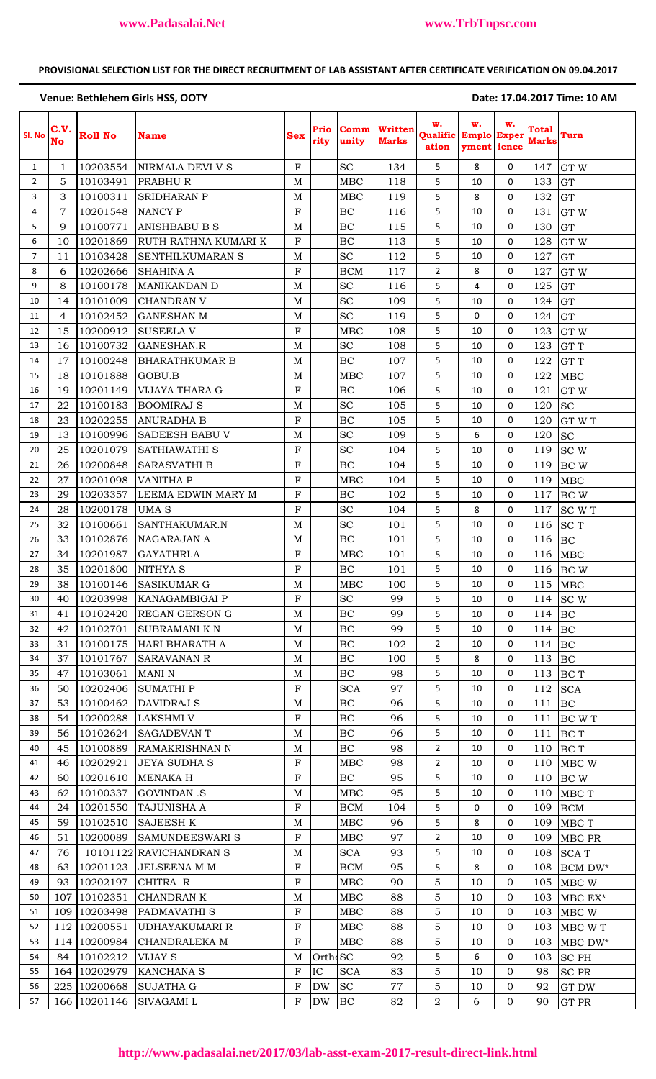# **PROVISIONAL SELECTION LIST FOR THE DIRECT RECRUITMENT OF LAB ASSISTANT AFTER CERTIFICATE VERIFICATION ON 09.04.2017**

### Venue: Bethlehem Girls HSS, OOTY **Same Contract Contract Contract Contract Contract Contract Contract Contract Contract Contract Contract Contract Contract Contract Contract Contract Contract Contract Contract Contract Con**

| Sl. No         | C.V.<br>No     | <b>Roll No</b> | <b>Name</b>             | <b>Sex</b>   | Prio<br>rity         | Comm<br>unity | <b>Written</b><br><b>Marks</b> | w.<br><b>Qualific Emplo Exper</b><br>ation | w.<br>yment ience | w.             | <b>Total</b><br><b>Marks</b> | Turn            |
|----------------|----------------|----------------|-------------------------|--------------|----------------------|---------------|--------------------------------|--------------------------------------------|-------------------|----------------|------------------------------|-----------------|
| $\mathbf{1}$   | 1              | 10203554       | NIRMALA DEVI V S        | $\mathbf{F}$ |                      | <b>SC</b>     | 134                            | 5                                          | 8                 | $\Omega$       | 147                          | GT W            |
| $\overline{2}$ | 5              | 10103491       | PRABHUR                 | M            |                      | MBC           | 118                            | 5                                          | 10                | 0              | 133                          | GT              |
| 3              | 3              | 10100311       | <b>SRIDHARAN P</b>      | M            |                      | MBC           | 119                            | 5                                          | 8                 | 0              | 132                          | <b>GT</b>       |
| 4              | 7              | 10201548       | <b>NANCY P</b>          | F            |                      | BC            | 116                            | 5                                          | 10                | 0              | 131                          | GT W            |
| 5              | 9              | 10100771       | <b>ANISHBABU B S</b>    | M            |                      | BC            | 115                            | 5                                          | 10                | 0              | 130                          | GT              |
| 6              | 10             | 10201869       | RUTH RATHNA KUMARI K    | $\mathbf F$  |                      | BC            | 113                            | 5                                          | 10                | 0              | 128                          | GT W            |
| 7              | 11             | 10103428       | SENTHILKUMARAN S        | M            |                      | <b>SC</b>     | 112                            | 5                                          | 10                | 0              | 127                          | GT              |
| 8              | 6              | 10202666       | <b>SHAHINA A</b>        | $\mathbf F$  |                      | <b>BCM</b>    | 117                            | $\overline{2}$                             | 8                 | 0              | 127                          | GT W            |
| 9              | 8              | 10100178       | <b>MANIKANDAN D</b>     | M            |                      | <b>SC</b>     | 116                            | 5                                          | 4                 | 0              | 125                          | GT              |
| 10             | 14             | 10101009       | <b>CHANDRAN V</b>       | $\mathbf M$  |                      | <b>SC</b>     | 109                            | 5                                          | 10                | 0              | 124                          | GT              |
| 11             | $\overline{4}$ | 10102452       | <b>GANESHAN M</b>       | M            |                      | <b>SC</b>     | 119                            | 5                                          | 0                 | 0              | 124                          | GT              |
| 12             | 15             | 10200912       | <b>SUSEELAV</b>         | $\mathbf F$  |                      | MBC           | 108                            | 5                                          | 10                | 0              | 123                          | GT W            |
| 13             | 16             | 10100732       | GANESHAN.R              | $\mathbf M$  |                      | <b>SC</b>     | 108                            | 5                                          | 10                | 0              | 123                          | GT T            |
| 14             | 17             | 10100248       | <b>BHARATHKUMAR B</b>   | M            |                      | BC            | 107                            | 5                                          | 10                | 0              | 122                          | GT T            |
| 15             | 18             | 10101888       | GOBU.B                  | M            |                      | MBC           | 107                            | 5                                          | 10                | 0              | 122                          | <b>MBC</b>      |
| 16             | 19             | 10201149       | VIJAYA THARA G          | $\mathbf F$  |                      | BC            | 106                            | 5                                          | 10                | 0              | 121                          | GT W            |
| 17             | 22             | 10100183       | <b>BOOMIRAJ S</b>       | M            |                      | <b>SC</b>     | 105                            | 5                                          | 10                | 0              | 120                          | <b>SC</b>       |
| 18             | 23             | 10202255       | <b>ANURADHA B</b>       | $\mathbf F$  |                      | BC            | 105                            | 5                                          | 10                | 0              | 120                          | GT W T          |
| 19             | 13             | 10100996       | SADEESH BABU V          | M            |                      | <b>SC</b>     | 109                            | 5                                          | 6                 | $\mathbf 0$    | 120                          | <b>SC</b>       |
| 20             | 25             | 10201079       | SATHIAWATHI S           | F            |                      | SC            | 104                            | 5                                          | 10                | 0              | 119                          | SC <sub>W</sub> |
| 21             | 26             | 10200848       | SARASVATHI B            | $\mathbf F$  |                      | BC            | 104                            | 5                                          | 10                | 0              | 119                          | BC W            |
| 22             | 27             | 10201098       | VANITHA P               | ${\bf F}$    |                      | <b>MBC</b>    | 104                            | 5                                          | 10                | 0              | 119                          | MBC             |
| 23             | 29             | 10203357       | LEEMA EDWIN MARY M      | ${\bf F}$    |                      | BC            | 102                            | 5                                          | 10                | 0              | 117                          | BC W            |
| 24             | 28             | 10200178       | <b>UMAS</b>             | $\mathbf F$  |                      | <b>SC</b>     | 104                            | 5                                          | 8                 | 0              | 117                          | SC W T          |
| 25             | 32             | 10100661       | SANTHAKUMAR.N           | $\mathbf M$  |                      | <b>SC</b>     | 101                            | 5                                          | 10                | $\mathbf 0$    | 116                          | <b>SCT</b>      |
| 26             | 33             | 10102876       | NAGARAJAN A             | M            |                      | BC            | 101                            | 5                                          | 10                | 0              | 116                          | BC              |
| 27             | 34             | 10201987       | GAYATHRI.A              | $\mathbf F$  |                      | MBC           | 101                            | 5                                          | 10                | 0              | 116                          | <b>MBC</b>      |
| 28             | 35             | 10201800       | NITHYA S                | ${\bf F}$    |                      | BC            | 101                            | 5                                          | 10                | 0              | 116                          | BC W            |
| 29             | 38             | 10100146       | <b>SASIKUMAR G</b>      | $\mathbf M$  |                      | MBC           | 100                            | 5                                          | 10                | $\Omega$       |                              | $115$ MBC       |
| 30             | 40             | 10203998       | KANAGAMBIGAI P          | $_{\rm F}$   |                      | <b>SC</b>     | 99                             | 5                                          | 10                | 0              |                              | 114 SC W        |
| 31             | 41             | 10102420       | <b>REGAN GERSON G</b>   | M            |                      | BC            | 99                             | 5                                          | 10                | 0              | 114                          | BC              |
| 32             | 42             | 10102701       | SUBRAMANI K N           | M            |                      | BC            | 99                             | 5                                          | 10                | 0              | $114$ BC                     |                 |
| 33             | 31             | 10100175       | HARI BHARATH A          | M            |                      | BC            | 102                            | $\overline{2}$                             | 10                | 0              | 114                          | BC              |
| 34             | 37             | 10101767       | <b>SARAVANAN R</b>      | M            |                      | BC            | 100                            | 5                                          | 8                 | 0              | 113                          | BC              |
| 35             | 47             | 10103061       | <b>MANI N</b>           | M            |                      | BC            | 98                             | 5                                          | 10                | 0              | 113                          | BC T            |
| 36             | 50             | 10202406       | <b>SUMATHIP</b>         | $_{\rm F}$   |                      | <b>SCA</b>    | 97                             | 5                                          | 10                | 0              | 112                          | <b>SCA</b>      |
| 37             | 53             | 10100462       | DAVIDRAJ S              | M            |                      | BC            | 96                             | 5                                          | 10                | 0              | 111                          | BC              |
| 38             | 54             | 10200288       | <b>LAKSHMI V</b>        | $\mathbf F$  |                      | BC            | 96                             | 5                                          | 10                | 0              | 111                          | BC W T          |
| 39             | 56             | 10102624       | <b>SAGADEVAN T</b>      | M            |                      | BC            | 96                             | 5                                          | 10                | 0              | 111                          | BC T            |
| 40             | 45             | 10100889       | <b>RAMAKRISHNAN N</b>   | M            |                      | BC            | 98                             | $\overline{2}$                             | 10                | 0              | 110                          | BC T            |
| 41             | 46             | 10202921       | <b>JEYA SUDHA S</b>     | $\mathbf F$  |                      | MBC           | 98                             | $\overline{2}$                             | 10                | 0              | 110                          | MBC W           |
| 42             | 60             | 10201610       | <b>MENAKA H</b>         | $\mathbf F$  |                      | BC            | 95                             | 5                                          | 10                | 0              | 110                          | BC W            |
| 43             | 62             | 10100337       | GOVINDAN.S              | M            |                      | MBC           | 95                             | 5                                          | 10                | 0              | 110                          | MBC T           |
| 44             | 24             | 10201550       | TAJUNISHA A             | $\mathbf F$  |                      | <b>BCM</b>    | 104                            | 5                                          | 0                 | 0              | 109                          | <b>BCM</b>      |
| 45             | 59             | 10102510       | <b>SAJEESH K</b>        | M            |                      | MBC           | 96                             | 5                                          | 8                 | 0              | 109                          | MBC T           |
| 46             | 51             | 10200089       | <b>SAMUNDEESWARI S</b>  | $_{\rm F}$   |                      | MBC           | 97                             | $\overline{2}$                             | 10                | 0              | 109                          | MBC PR          |
| 47             | 76             |                | 10101122 RAVICHANDRAN S | M            |                      | <b>SCA</b>    | 93                             | 5                                          | 10                | 0              | 108                          | <b>SCAT</b>     |
| 48             | 63             | 10201123       | JELSEENA M M            | $\mathbf F$  |                      | BCM           | 95                             | 5                                          | 8                 | 0              | 108                          | BCM DW*         |
| 49             | 93             | 10202197       | CHITRA R                | $\mathbf F$  |                      | MBC           | 90                             | 5                                          | 10                | $\overline{0}$ | 105                          | MBC W           |
| 50             |                | 107 10102351   | CHANDRAN K              | M            |                      | MBC           | 88                             | 5                                          | 10                | $\overline{0}$ | 103                          | $MBC EX*$       |
| 51             | 109            | 10203498       | PADMAVATHI S            | $\mathbf F$  |                      | MBC           | 88                             | 5                                          | 10                | $\Omega$       | 103                          | MBC W           |
| 52             |                | 112 10200551   | UDHAYAKUMARI R          | $\mathbf F$  |                      | MBC           | 88                             | 5                                          | 10                | $\overline{0}$ | 103                          | MBC W T         |
| 53             |                | 114 10200984   | CHANDRALEKA M           | $\mathbf F$  |                      | MBC           | 88                             | 5                                          | 10                | $\overline{0}$ | 103                          | MBC DW*         |
| 54             | 84             | 10102212       | VIJAY S                 | M            | Orth <sub>c</sub> SC |               | 92                             | 5                                          | 6                 | 0              | 103                          | <b>SC PH</b>    |
| 55             |                | 164 10202979   | KANCHANA S              | F            | IC                   | <b>SCA</b>    | 83                             | 5                                          | 10                | $\overline{0}$ | 98                           | SC PR           |
| 56             |                | 225 10200668   | <b>SUJATHA G</b>        | F            | <b>DW</b>            | <b>SC</b>     | 77                             | 5                                          | 10                | $\overline{0}$ | 92                           | GT DW           |
| 57             |                | 166 10201146   | SIVAGAMI L              | $_{\rm F}$   | <b>DW</b>            | BC            | 82                             | $\sqrt{2}$                                 | 6                 | $\mathbf 0$    | 90                           | GT PR           |